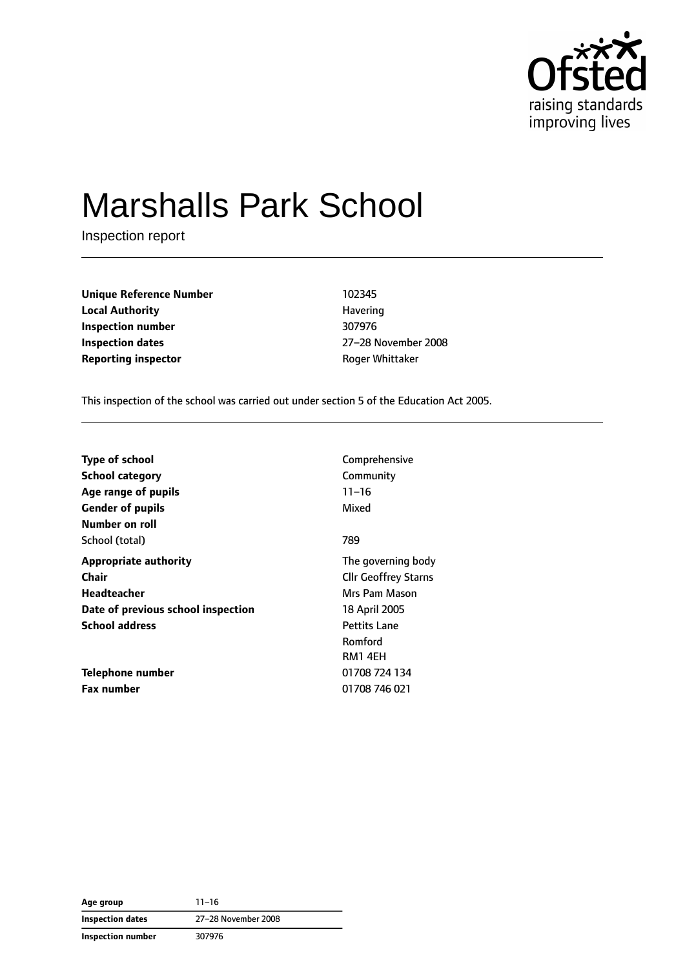

# Marshalls Park School

Inspection report

**Unique Reference Number** 102345 **Local Authority Havering Inspection number** 307976 **Inspection dates** 27–28 November 2008 **Reporting inspector Reporting inspector Roger Whittaker** 

This inspection of the school was carried out under section 5 of the Education Act 2005.

| <b>Type of school</b>              | Comprehensive               |
|------------------------------------|-----------------------------|
| <b>School category</b>             | Community                   |
| Age range of pupils                | $11 - 16$                   |
| <b>Gender of pupils</b>            | Mixed                       |
| Number on roll                     |                             |
| School (total)                     | 789                         |
| <b>Appropriate authority</b>       | The governing body          |
| Chair                              | <b>Cllr Geoffrey Starns</b> |
| Headteacher                        | Mrs Pam Mason               |
| Date of previous school inspection | 18 April 2005               |
| <b>School address</b>              | <b>Pettits Lane</b>         |
|                                    | Romford                     |
|                                    | RM1 4EH                     |
| <b>Telephone number</b>            | 01708 724 134               |
| <b>Fax number</b>                  | 01708 746 021               |

**Age group** 11–16 **Inspection dates** 27–28 November 2008 **Inspection number** 307976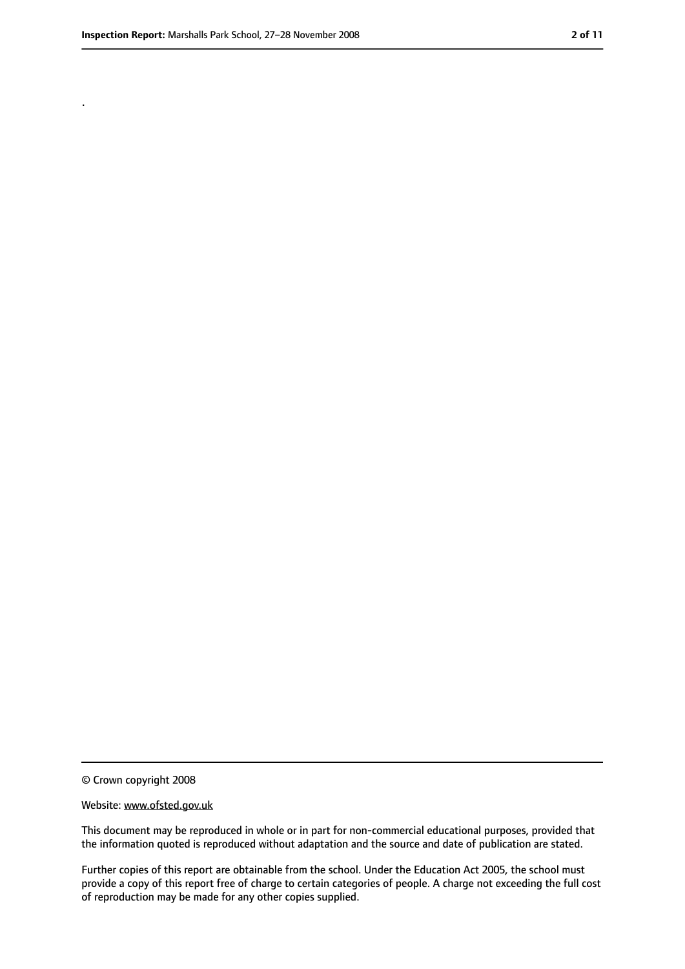.

<sup>©</sup> Crown copyright 2008

Website: www.ofsted.gov.uk

This document may be reproduced in whole or in part for non-commercial educational purposes, provided that the information quoted is reproduced without adaptation and the source and date of publication are stated.

Further copies of this report are obtainable from the school. Under the Education Act 2005, the school must provide a copy of this report free of charge to certain categories of people. A charge not exceeding the full cost of reproduction may be made for any other copies supplied.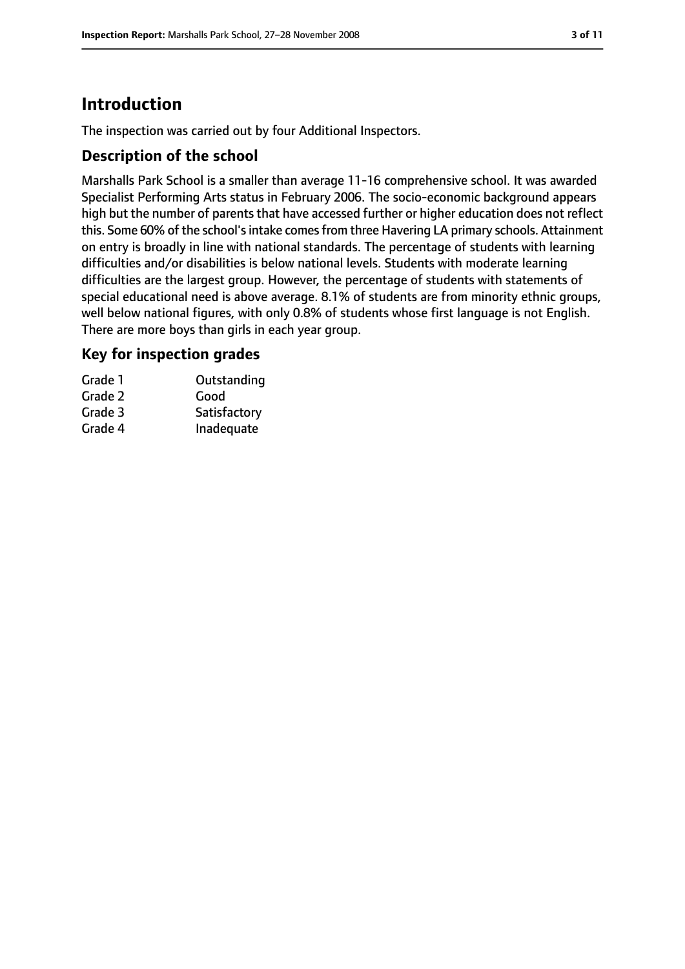# **Introduction**

The inspection was carried out by four Additional Inspectors.

#### **Description of the school**

Marshalls Park School is a smaller than average 11-16 comprehensive school. It was awarded Specialist Performing Arts status in February 2006. The socio-economic background appears high but the number of parents that have accessed further or higher education does not reflect this. Some 60% of the school's intake comes from three Havering LA primary schools. Attainment on entry is broadly in line with national standards. The percentage of students with learning difficulties and/or disabilities is below national levels. Students with moderate learning difficulties are the largest group. However, the percentage of students with statements of special educational need is above average. 8.1% of students are from minority ethnic groups, well below national figures, with only 0.8% of students whose first language is not English. There are more boys than girls in each year group.

#### **Key for inspection grades**

| Grade 1 | Outstanding  |
|---------|--------------|
| Grade 2 | Good         |
| Grade 3 | Satisfactory |
| Grade 4 | Inadequate   |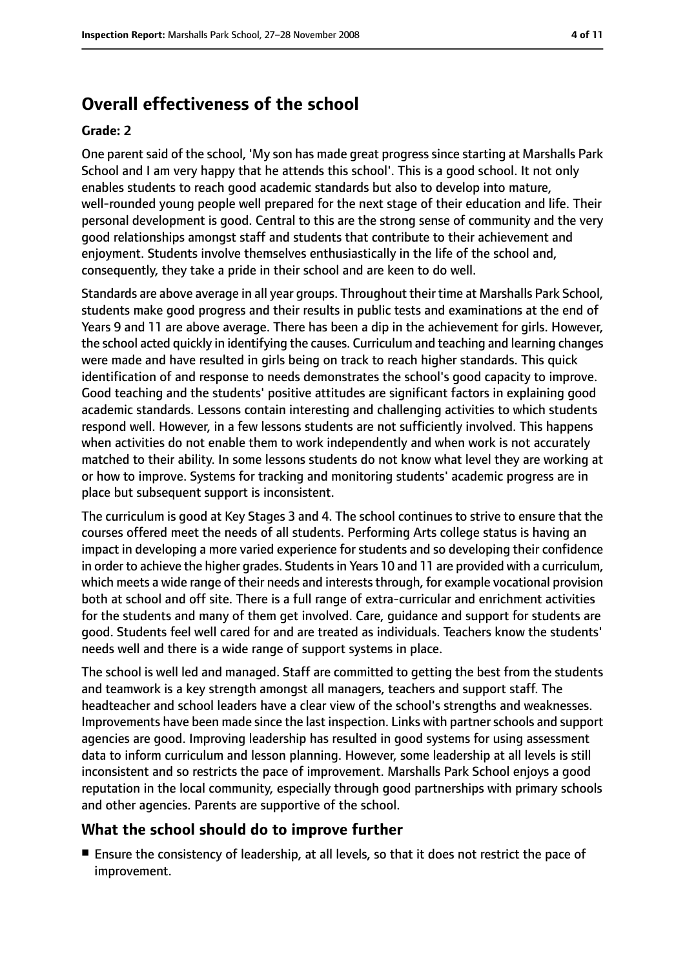# **Overall effectiveness of the school**

#### **Grade: 2**

One parent said of the school, 'My son has made great progress since starting at Marshalls Park School and I am very happy that he attends this school'. This is a good school. It not only enables students to reach good academic standards but also to develop into mature, well-rounded young people well prepared for the next stage of their education and life. Their personal development is good. Central to this are the strong sense of community and the very good relationships amongst staff and students that contribute to their achievement and enjoyment. Students involve themselves enthusiastically in the life of the school and, consequently, they take a pride in their school and are keen to do well.

Standards are above average in all year groups. Throughout their time at Marshalls Park School, students make good progress and their results in public tests and examinations at the end of Years 9 and 11 are above average. There has been a dip in the achievement for girls. However, the school acted quickly in identifying the causes. Curriculum and teaching and learning changes were made and have resulted in girls being on track to reach higher standards. This quick identification of and response to needs demonstrates the school's good capacity to improve. Good teaching and the students' positive attitudes are significant factors in explaining good academic standards. Lessons contain interesting and challenging activities to which students respond well. However, in a few lessons students are not sufficiently involved. This happens when activities do not enable them to work independently and when work is not accurately matched to their ability. In some lessons students do not know what level they are working at or how to improve. Systems for tracking and monitoring students' academic progress are in place but subsequent support is inconsistent.

The curriculum is good at Key Stages 3 and 4. The school continues to strive to ensure that the courses offered meet the needs of all students. Performing Arts college status is having an impact in developing a more varied experience for students and so developing their confidence in order to achieve the higher grades. Students in Years 10 and 11 are provided with a curriculum, which meets a wide range of their needs and interests through, for example vocational provision both at school and off site. There is a full range of extra-curricular and enrichment activities for the students and many of them get involved. Care, guidance and support for students are good. Students feel well cared for and are treated as individuals. Teachers know the students' needs well and there is a wide range of support systems in place.

The school is well led and managed. Staff are committed to getting the best from the students and teamwork is a key strength amongst all managers, teachers and support staff. The headteacher and school leaders have a clear view of the school's strengths and weaknesses. Improvements have been made since the last inspection. Links with partnerschools and support agencies are good. Improving leadership has resulted in good systems for using assessment data to inform curriculum and lesson planning. However, some leadership at all levels is still inconsistent and so restricts the pace of improvement. Marshalls Park School enjoys a good reputation in the local community, especially through good partnerships with primary schools and other agencies. Parents are supportive of the school.

#### **What the school should do to improve further**

■ Ensure the consistency of leadership, at all levels, so that it does not restrict the pace of improvement.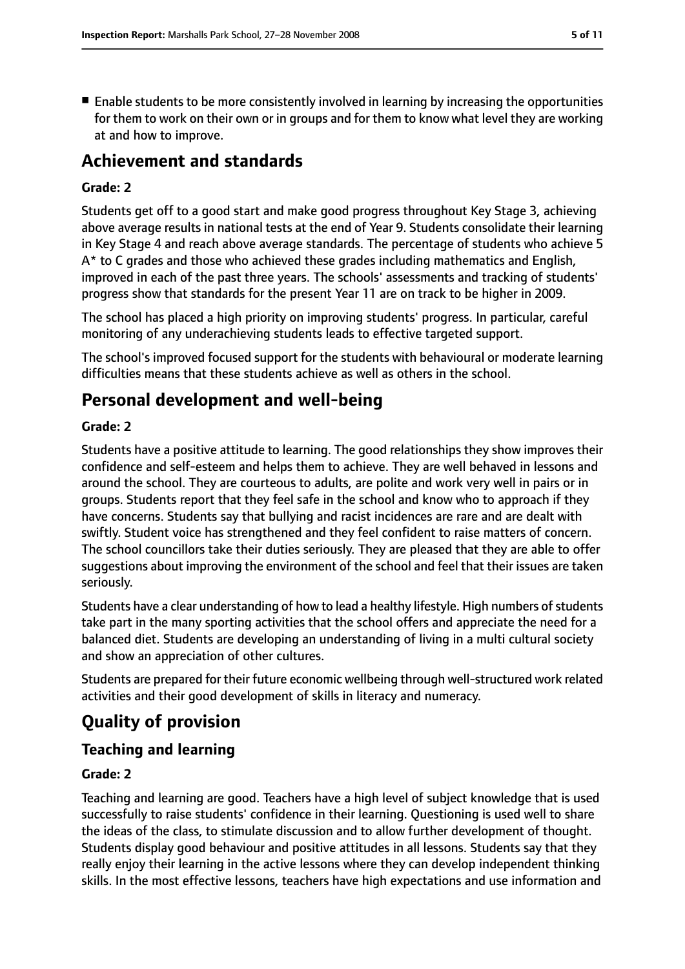■ Enable students to be more consistently involved in learning by increasing the opportunities for them to work on their own or in groups and for them to know what level they are working at and how to improve.

# **Achievement and standards**

#### **Grade: 2**

Students get off to a good start and make good progress throughout Key Stage 3, achieving above average results in national tests at the end of Year 9. Students consolidate their learning in Key Stage 4 and reach above average standards. The percentage of students who achieve 5 A\* to C grades and those who achieved these grades including mathematics and English, improved in each of the past three years. The schools' assessments and tracking of students' progress show that standards for the present Year 11 are on track to be higher in 2009.

The school has placed a high priority on improving students' progress. In particular, careful monitoring of any underachieving students leads to effective targeted support.

The school's improved focused support for the students with behavioural or moderate learning difficulties means that these students achieve as well as others in the school.

## **Personal development and well-being**

#### **Grade: 2**

Students have a positive attitude to learning. The good relationships they show improves their confidence and self-esteem and helps them to achieve. They are well behaved in lessons and around the school. They are courteous to adults, are polite and work very well in pairs or in groups. Students report that they feel safe in the school and know who to approach if they have concerns. Students say that bullying and racist incidences are rare and are dealt with swiftly. Student voice has strengthened and they feel confident to raise matters of concern. The school councillors take their duties seriously. They are pleased that they are able to offer suggestions about improving the environment of the school and feel that their issues are taken seriously.

Students have a clear understanding of how to lead a healthy lifestyle. High numbers of students take part in the many sporting activities that the school offers and appreciate the need for a balanced diet. Students are developing an understanding of living in a multi cultural society and show an appreciation of other cultures.

Students are prepared for their future economic wellbeing through well-structured work related activities and their good development of skills in literacy and numeracy.

# **Quality of provision**

### **Teaching and learning**

#### **Grade: 2**

Teaching and learning are good. Teachers have a high level of subject knowledge that is used successfully to raise students' confidence in their learning. Questioning is used well to share the ideas of the class, to stimulate discussion and to allow further development of thought. Students display good behaviour and positive attitudes in all lessons. Students say that they really enjoy their learning in the active lessons where they can develop independent thinking skills. In the most effective lessons, teachers have high expectations and use information and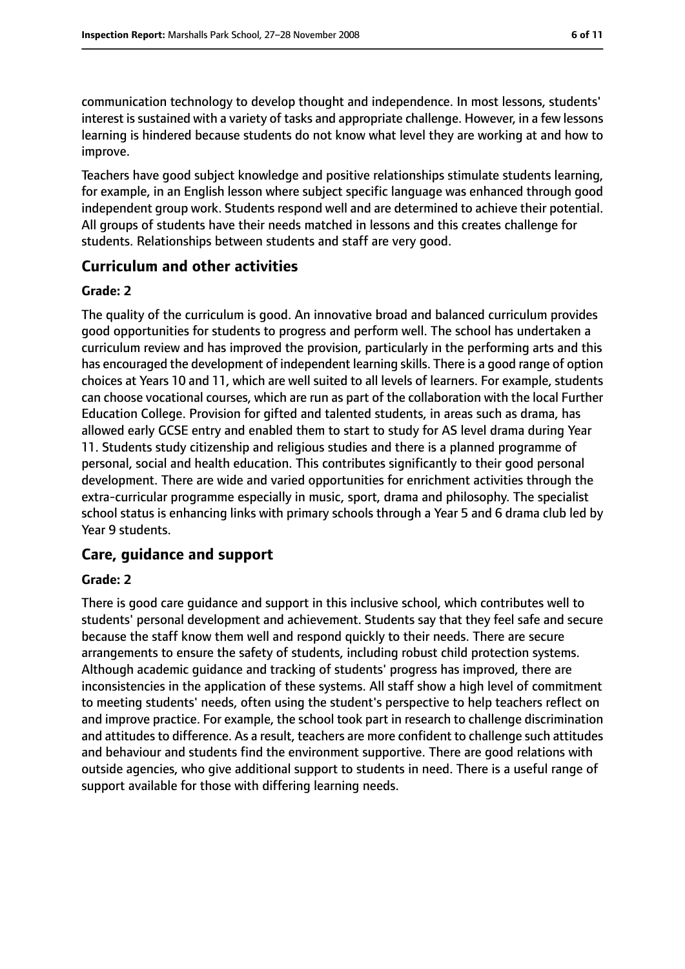communication technology to develop thought and independence. In most lessons, students' interest is sustained with a variety of tasks and appropriate challenge. However, in a few lessons learning is hindered because students do not know what level they are working at and how to improve.

Teachers have good subject knowledge and positive relationships stimulate students learning, for example, in an English lesson where subject specific language was enhanced through good independent group work. Students respond well and are determined to achieve their potential. All groups of students have their needs matched in lessons and this creates challenge for students. Relationships between students and staff are very good.

#### **Curriculum and other activities**

#### **Grade: 2**

The quality of the curriculum is good. An innovative broad and balanced curriculum provides good opportunities for students to progress and perform well. The school has undertaken a curriculum review and has improved the provision, particularly in the performing arts and this has encouraged the development of independent learning skills. There is a good range of option choices at Years 10 and 11, which are well suited to all levels of learners. For example, students can choose vocational courses, which are run as part of the collaboration with the local Further Education College. Provision for gifted and talented students, in areas such as drama, has allowed early GCSE entry and enabled them to start to study for AS level drama during Year 11. Students study citizenship and religious studies and there is a planned programme of personal, social and health education. This contributes significantly to their good personal development. There are wide and varied opportunities for enrichment activities through the extra-curricular programme especially in music, sport, drama and philosophy. The specialist school status is enhancing links with primary schools through a Year 5 and 6 drama club led by Year 9 students.

### **Care, guidance and support**

#### **Grade: 2**

There is good care guidance and support in this inclusive school, which contributes well to students' personal development and achievement. Students say that they feel safe and secure because the staff know them well and respond quickly to their needs. There are secure arrangements to ensure the safety of students, including robust child protection systems. Although academic guidance and tracking of students' progress has improved, there are inconsistencies in the application of these systems. All staff show a high level of commitment to meeting students' needs, often using the student's perspective to help teachers reflect on and improve practice. For example, the school took part in research to challenge discrimination and attitudes to difference. As a result, teachers are more confident to challenge such attitudes and behaviour and students find the environment supportive. There are good relations with outside agencies, who give additional support to students in need. There is a useful range of support available for those with differing learning needs.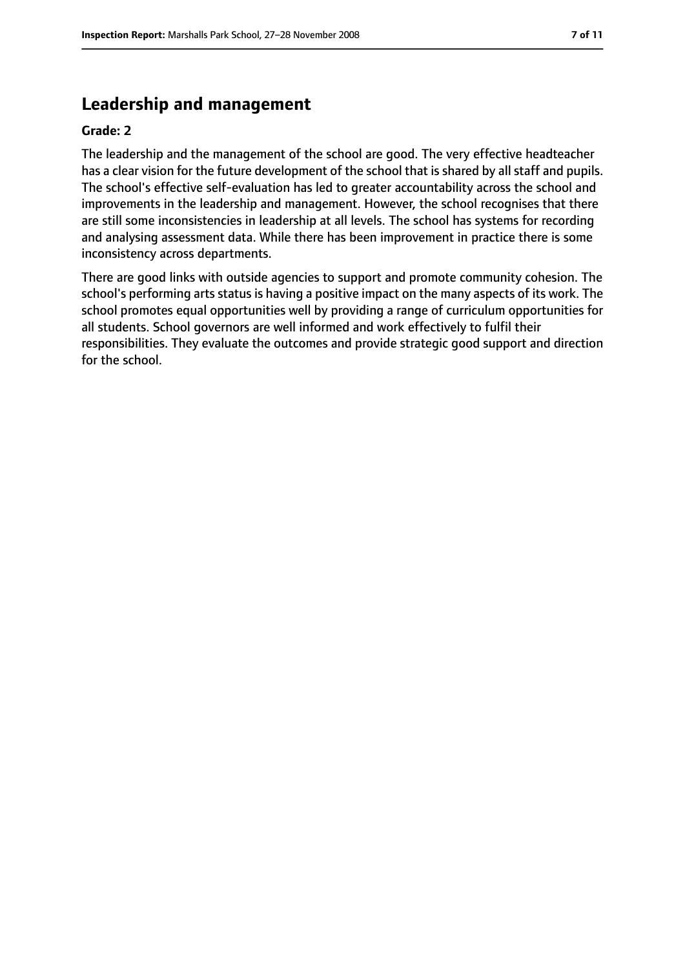# **Leadership and management**

#### **Grade: 2**

The leadership and the management of the school are good. The very effective headteacher has a clear vision for the future development of the school that is shared by all staff and pupils. The school's effective self-evaluation has led to greater accountability across the school and improvements in the leadership and management. However, the school recognises that there are still some inconsistencies in leadership at all levels. The school has systems for recording and analysing assessment data. While there has been improvement in practice there is some inconsistency across departments.

There are good links with outside agencies to support and promote community cohesion. The school's performing arts status is having a positive impact on the many aspects of its work. The school promotes equal opportunities well by providing a range of curriculum opportunities for all students. School governors are well informed and work effectively to fulfil their responsibilities. They evaluate the outcomes and provide strategic good support and direction for the school.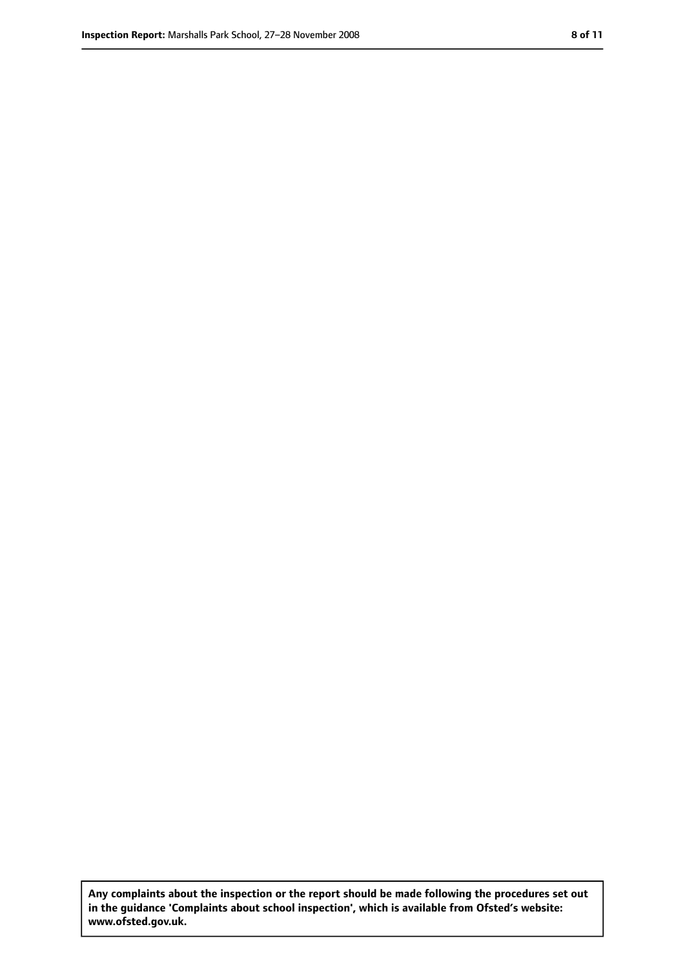**Any complaints about the inspection or the report should be made following the procedures set out in the guidance 'Complaints about school inspection', which is available from Ofsted's website: www.ofsted.gov.uk.**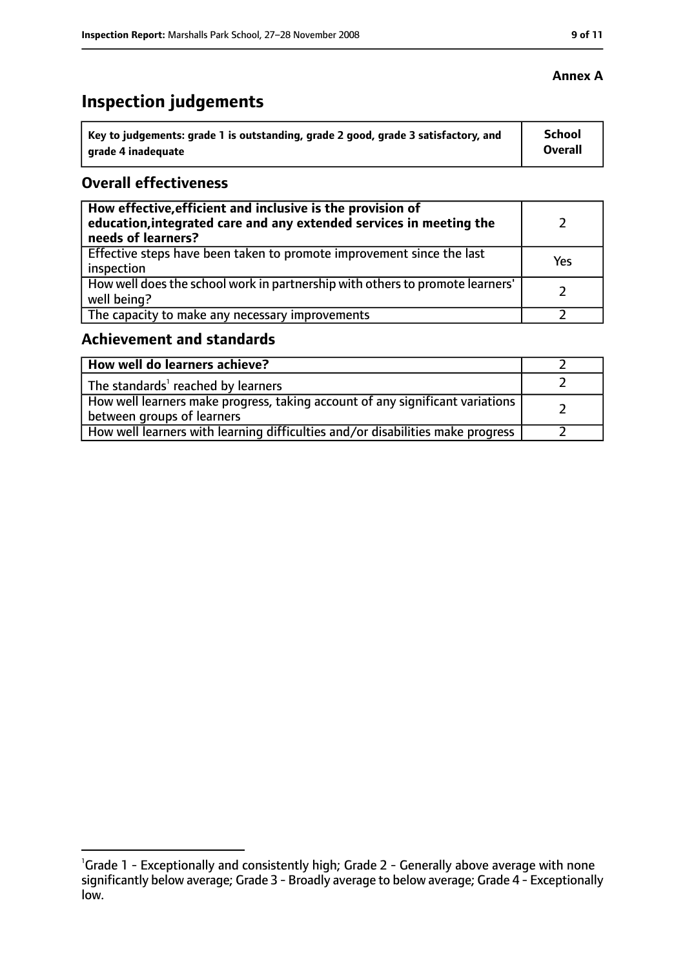# **Inspection judgements**

| $^{\cdot}$ Key to judgements: grade 1 is outstanding, grade 2 good, grade 3 satisfactory, and | School         |
|-----------------------------------------------------------------------------------------------|----------------|
| arade 4 inadequate                                                                            | <b>Overall</b> |

#### **Overall effectiveness**

| How effective, efficient and inclusive is the provision of<br>education, integrated care and any extended services in meeting the<br>needs of learners? |     |
|---------------------------------------------------------------------------------------------------------------------------------------------------------|-----|
| Effective steps have been taken to promote improvement since the last<br>inspection                                                                     | Yes |
| How well does the school work in partnership with others to promote learners'<br>well being?                                                            |     |
| The capacity to make any necessary improvements                                                                                                         |     |

#### **Achievement and standards**

| How well do learners achieve?                                                                                 |  |
|---------------------------------------------------------------------------------------------------------------|--|
| The standards <sup>1</sup> reached by learners                                                                |  |
| How well learners make progress, taking account of any significant variations  <br>between groups of learners |  |
| How well learners with learning difficulties and/or disabilities make progress                                |  |

#### **Annex A**

<sup>&</sup>lt;sup>1</sup>Grade 1 - Exceptionally and consistently high; Grade 2 - Generally above average with none significantly below average; Grade 3 - Broadly average to below average; Grade 4 - Exceptionally low.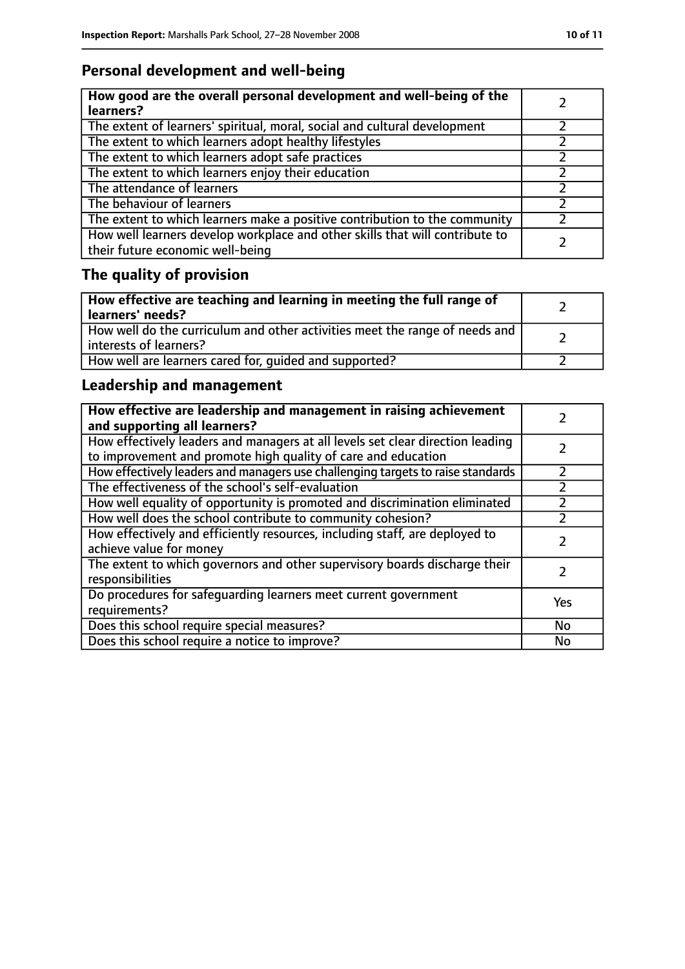### **Personal development and well-being**

| How good are the overall personal development and well-being of the<br>learners?                                 |  |
|------------------------------------------------------------------------------------------------------------------|--|
| The extent of learners' spiritual, moral, social and cultural development                                        |  |
| The extent to which learners adopt healthy lifestyles                                                            |  |
| The extent to which learners adopt safe practices                                                                |  |
| The extent to which learners enjoy their education                                                               |  |
| The attendance of learners                                                                                       |  |
| The behaviour of learners                                                                                        |  |
| The extent to which learners make a positive contribution to the community                                       |  |
| How well learners develop workplace and other skills that will contribute to<br>their future economic well-being |  |

# **The quality of provision**

| How effective are teaching and learning in meeting the full range of<br>learners' needs?              |  |
|-------------------------------------------------------------------------------------------------------|--|
| How well do the curriculum and other activities meet the range of needs and<br>interests of learners? |  |
| How well are learners cared for, quided and supported?                                                |  |

### **Leadership and management**

| How effective are leadership and management in raising achievement<br>and supporting all learners?                                              |     |
|-------------------------------------------------------------------------------------------------------------------------------------------------|-----|
| How effectively leaders and managers at all levels set clear direction leading<br>to improvement and promote high quality of care and education |     |
| How effectively leaders and managers use challenging targets to raise standards                                                                 |     |
| The effectiveness of the school's self-evaluation                                                                                               |     |
| How well equality of opportunity is promoted and discrimination eliminated                                                                      |     |
| How well does the school contribute to community cohesion?                                                                                      | フ   |
| How effectively and efficiently resources, including staff, are deployed to<br>achieve value for money                                          |     |
| The extent to which governors and other supervisory boards discharge their<br>responsibilities                                                  |     |
| Do procedures for safequarding learners meet current government<br>requirements?                                                                | Yes |
| Does this school require special measures?                                                                                                      | No  |
| Does this school require a notice to improve?                                                                                                   | No  |